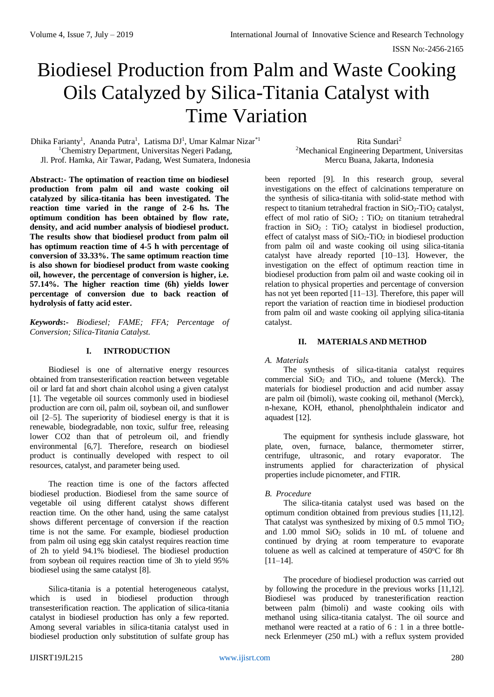# Biodiesel Production from Palm and Waste Cooking Oils Catalyzed by Silica-Titania Catalyst with Time Variation

Dhika Farianty<sup>1</sup>, Ananda Putra<sup>1</sup>, Latisma DJ<sup>1</sup>, Umar Kalmar Nizar<sup>\*1</sup> <sup>1</sup>Chemistry Department, Universitas Negeri Padang, Jl. Prof. Hamka, Air Tawar, Padang, West Sumatera, Indonesia

Rita Sundari<sup>2</sup> <sup>2</sup>Mechanical Engineering Department, Universitas Mercu Buana, Jakarta, Indonesia

**Abstract:- The optimation of reaction time on biodiesel production from palm oil and waste cooking oil catalyzed by silica-titania has been investigated. The reaction time varied in the range of 2-6 hs. The optimum condition has been obtained by flow rate, density, and acid number analysis of biodiesel product. The results show that biodiesel product from palm oil has optimum reaction time of 4-5 h with percentage of conversion of 33.33%. The same optimum reaction time is also shown for biodiesel product from waste cooking oil, however, the percentage of conversion is higher, i.e. 57.14%. The higher reaction time (6h) yields lower percentage of conversion due to back reaction of hydrolysis of fatty acid ester.**

*Keywords***:-** *Biodiesel; FAME; FFA; Percentage of Conversion; Silica-Titania Catalyst.*

# **I. INTRODUCTION**

Biodiesel is one of alternative energy resources obtained from transesterification reaction between vegetable oil or lard fat and short chain alcohol using a given catalyst [1]. The vegetable oil sources commonly used in biodiesel production are corn oil, palm oil, soybean oil, and sunflower oil [2–5]. The superiority of biodiesel energy is that it is renewable, biodegradable, non toxic, sulfur free, releasing lower CO2 than that of petroleum oil, and friendly environmental [6,7]. Therefore, research on biodiesel product is continually developed with respect to oil resources, catalyst, and parameter being used.

The reaction time is one of the factors affected biodiesel production. Biodiesel from the same source of vegetable oil using different catalyst shows different reaction time. On the other hand, using the same catalyst shows different percentage of conversion if the reaction time is not the same. For example, biodiesel production from palm oil using egg skin catalyst requires reaction time of 2h to yield 94.1% biodiesel. The biodiesel production from soybean oil requires reaction time of 3h to yield 95% biodiesel using the same catalyst [8].

Silica-titania is a potential heterogeneous catalyst, which is used in biodiesel production through transesterification reaction. The application of silica-titania catalyst in biodiesel production has only a few reported. Among several variables in silica-titania catalyst used in biodiesel production only substitution of sulfate group has

been reported [9]. In this research group, several investigations on the effect of calcinations temperature on the synthesis of silica-titania with solid-state method with respect to titanium tetrahedral fraction in  $SiO<sub>2</sub>-TiO<sub>2</sub>$  catalyst, effect of mol ratio of  $SiO<sub>2</sub>$ : TiO<sub>2</sub> on titanium tetrahedral fraction in  $SiO<sub>2</sub>$ : TiO<sub>2</sub> catalyst in biodiesel production, effect of catalyst mass of  $SiO_2-TiO_2$  in biodiesel production from palm oil and waste cooking oil using silica-titania catalyst have already reported [10–13]. However, the investigation on the effect of optimum reaction time in biodiesel production from palm oil and waste cooking oil in relation to physical properties and percentage of conversion has not yet been reported [11–13]. Therefore, this paper will report the variation of reaction time in biodiesel production from palm oil and waste cooking oil applying silica-titania catalyst.

# **II. MATERIALS AND METHOD**

# *A. Materials*

The synthesis of silica-titania catalyst requires commercial  $SiO<sub>2</sub>$  and  $TiO<sub>2</sub>$ , and toluene (Merck). The materials for biodiesel production and acid number assay are palm oil (bimoli), waste cooking oil, methanol (Merck), n-hexane, KOH, ethanol, phenolphthalein indicator and aquadest [12].

The equipment for synthesis include glassware, hot plate, oven, furnace, balance, thermometer stirrer, centrifuge, ultrasonic, and rotary evaporator. The instruments applied for characterization of physical properties include picnometer, and FTIR.

# *B. Procedure*

The silica-titania catalyst used was based on the optimum condition obtained from previous studies [11,12]. That catalyst was synthesized by mixing of  $0.5$  mmol TiO<sub>2</sub> and  $1.00$  mmol  $SiO<sub>2</sub>$  solids in 10 mL of toluene and continued by drying at room temperature to evaporate toluene as well as calcined at temperature of  $450^{\circ}$ C for 8h [11–14].

The procedure of biodiesel production was carried out by following the procedure in the previous works [11,12]. Biodiesel was produced by tranesterification reaction between palm (bimoli) and waste cooking oils with methanol using silica-titania catalyst. The oil source and methanol were reacted at a ratio of 6 : 1 in a three bottleneck Erlenmeyer (250 mL) with a reflux system provided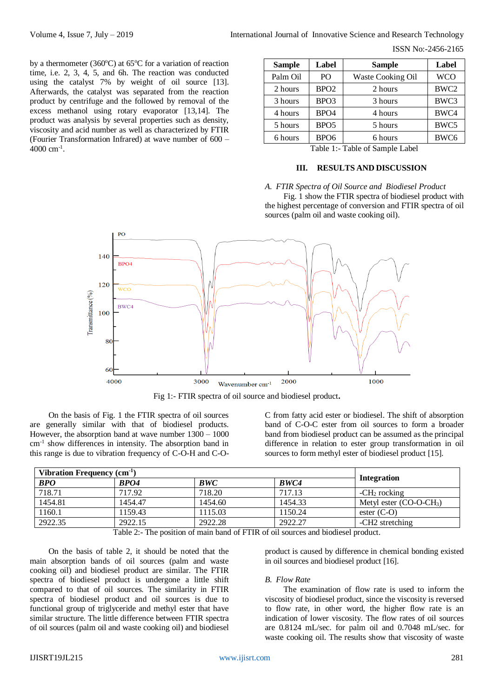by a thermometer (360 $^{\circ}$ C) at 65 $^{\circ}$ C for a variation of reaction time, i.e. 2, 3, 4, 5, and 6h. The reaction was conducted using the catalyst 7% by weight of oil source [13]. Afterwards, the catalyst was separated from the reaction product by centrifuge and the followed by removal of the excess methanol using rotary evaporator [13,14]. The product was analysis by several properties such as density, viscosity and acid number as well as characterized by FTIR (Fourier Transformation Infrared) at wave number of 600 –  $4000 \text{ cm}^{-1}$ .

| <b>Sample</b>                                | Label            | <b>Sample</b>     | Label            |  |  |
|----------------------------------------------|------------------|-------------------|------------------|--|--|
| Palm Oil                                     | P <sub>O</sub>   | Waste Cooking Oil | <b>WCO</b>       |  |  |
| 2 hours                                      | BPO <sub>2</sub> | 2 hours           | BWC <sub>2</sub> |  |  |
| 3 hours                                      | BPO <sub>3</sub> | 3 hours           | BWC3             |  |  |
| 4 hours                                      | BPO <sub>4</sub> | 4 hours           | BWC4             |  |  |
| 5 hours                                      | BPO <sub>5</sub> | 5 hours           | BWC5             |  |  |
| 6 hours                                      | BPO <sub>6</sub> | 6 hours           | BWC6             |  |  |
| $\sim$ $\sim$ $\sim$ $\sim$<br>-- - -<br>--- |                  |                   |                  |  |  |

Table 1:- Table of Sample Label

## **III. RESULTS AND DISCUSSION**

## *A. FTIR Spectra of Oil Source and Biodiesel Product*

Fig. 1 show the FTIR spectra of biodiesel product with the highest percentage of conversion and FTIR spectra of oil sources (palm oil and waste cooking oil).



Fig 1:- FTIR spectra of oil source and biodiesel product**.**

On the basis of Fig. 1 the FTIR spectra of oil sources are generally similar with that of biodiesel products. However, the absorption band at wave number 1300 – 1000 cm-1 show differences in intensity. The absorption band in this range is due to vibration frequency of C-O-H and C-O-

C from fatty acid ester or biodiesel. The shift of absorption band of C-O-C ester from oil sources to form a broader band from biodiesel product can be assumed as the principal difference in relation to ester group transformation in oil sources to form methyl ester of biodiesel product [15].

| Vibration Frequency (cm <sup>1)</sup> |         |         |         |                             |
|---------------------------------------|---------|---------|---------|-----------------------------|
| <b>BPO</b>                            | BPO4    | BWC     | BWC4    | <b>Integration</b>          |
| 718.71                                | 717.92  | 718.20  | 717.13  | $-CH2$ rocking              |
| 1454.81                               | 1454.47 | 1454.60 | 1454.33 | Metyl ester $(CO-O-CH3)$    |
| 1160.1                                | 1159.43 | 1115.03 | 1150.24 | ester $(C-O)$               |
| 2922.35                               | 2922.15 | 2922.28 | 2922.27 | -CH <sub>2</sub> stretching |

Table 2:- The position of main band of FTIR of oil sources and biodiesel product.

On the basis of table 2, it should be noted that the main absorption bands of oil sources (palm and waste cooking oil) and biodiesel product are similar. The FTIR spectra of biodiesel product is undergone a little shift compared to that of oil sources. The similarity in FTIR spectra of biodiesel product and oil sources is due to functional group of triglyceride and methyl ester that have similar structure. The little difference between FTIR spectra of oil sources (palm oil and waste cooking oil) and biodiesel

product is caused by difference in chemical bonding existed in oil sources and biodiesel product [16].

#### *B. Flow Rate*

The examination of flow rate is used to inform the viscosity of biodiesel product, since the viscosity is reversed to flow rate, in other word, the higher flow rate is an indication of lower viscosity. The flow rates of oil sources are 0.8124 mL/sec. for palm oil and 0.7048 mL/sec. for waste cooking oil. The results show that viscosity of waste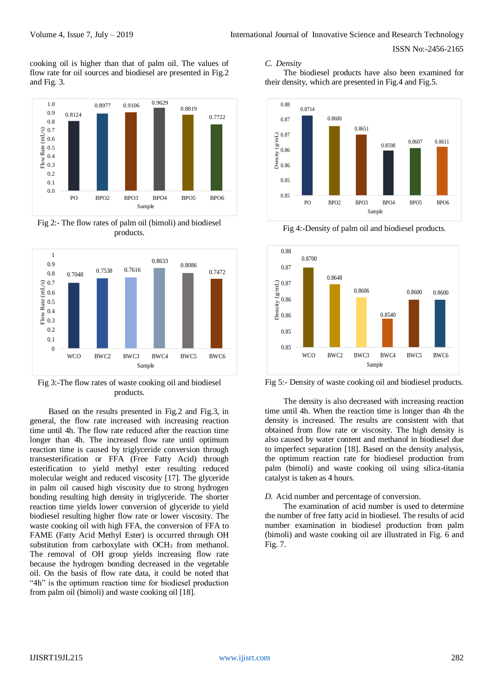cooking oil is higher than that of palm oil. The values of flow rate for oil sources and biodiesel are presented in Fig.2 and Fig. 3.



Fig 2:- The flow rates of palm oil (bimoli) and biodiesel products.



Fig 3:-The flow rates of waste cooking oil and biodiesel products.

Based on the results presented in Fig.2 and Fig.3, in general, the flow rate increased with increasing reaction time until 4h. The flow rate reduced after the reaction time longer than 4h. The increased flow rate until optimum reaction time is caused by triglyceride conversion through transesterification or FFA (Free Fatty Acid) through esterification to yield methyl ester resulting reduced molecular weight and reduced viscosity [17]. The glyceride in palm oil caused high viscosity due to strong hydrogen bonding resulting high density in triglyceride. The shorter reaction time yields lower conversion of glyceride to yield biodiesel resulting higher flow rate or lower viscosity. The waste cooking oil with high FFA, the conversion of FFA to FAME (Fatty Acid Methyl Ester) is occurred through OH substitution from carboxylate with  $OCH<sub>3</sub>$  from methanol. The removal of OH group yields increasing flow rate because the hydrogen bonding decreased in the vegetable oil. On the basis of flow rate data, it could be noted that "4h" is the optimum reaction time for biodiesel production from palm oil (bimoli) and waste cooking oil [18].

# *C. Density*

The biodiesel products have also been examined for their density, which are presented in Fig.4 and Fig.5.



Fig 4:-Density of palm oil and biodiesel products.



Fig 5:- Density of waste cooking oil and biodiesel products.

The density is also decreased with increasing reaction time until 4h. When the reaction time is longer than 4h the density is increased. The results are consistent with that obtained from flow rate or viscosity. The high density is also caused by water content and methanol in biodiesel due to imperfect separation [18]. Based on the density analysis, the optimum reaction rate for biodiesel production from palm (bimoli) and waste cooking oil using silica-titania catalyst is taken as 4 hours.

## *D.* Acid number and percentage of conversion*.*

The examination of acid number is used to determine the number of free fatty acid in biodiesel. The results of acid number examination in biodiesel production from palm (bimoli) and waste cooking oil are illustrated in Fig. 6 and Fig. 7.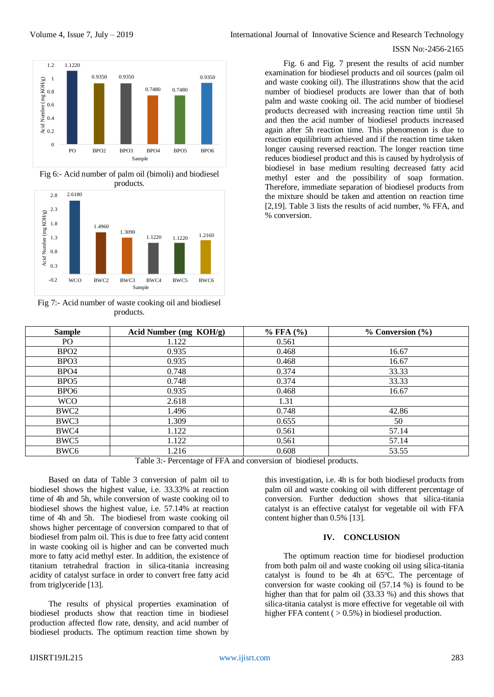

Fig 6:- Acid number of palm oil (bimoli) and biodiesel products.



Fig 7:- Acid number of waste cooking oil and biodiesel products.

Fig. 6 and Fig. 7 present the results of acid number examination for biodiesel products and oil sources (palm oil and waste cooking oil). The illustrations show that the acid number of biodiesel products are lower than that of both palm and waste cooking oil. The acid number of biodiesel products decreased with increasing reaction time until 5h and then the acid number of biodiesel products increased again after 5h reaction time. This phenomenon is due to reaction equilibrium achieved and if the reaction time taken longer causing reversed reaction. The longer reaction time reduces biodiesel product and this is caused by hydrolysis of biodiesel in base medium resulting decreased fatty acid methyl ester and the possibility of soap formation. Therefore, immediate separation of biodiesel products from the mixture should be taken and attention on reaction time [2,19]. Table 3 lists the results of acid number, % FFA, and % conversion.

| <b>Sample</b>                                                   | Acid Number (mg KOH/g) | $%$ FFA $(%)$ | $\%$ Conversion $(\% )$ |  |  |
|-----------------------------------------------------------------|------------------------|---------------|-------------------------|--|--|
| PO <sub>1</sub>                                                 | 1.122                  | 0.561         |                         |  |  |
| BPO <sub>2</sub>                                                | 0.935                  | 0.468         | 16.67                   |  |  |
| BPO <sub>3</sub>                                                | 0.935                  | 0.468         | 16.67                   |  |  |
| BPO <sub>4</sub>                                                | 0.748                  | 0.374         | 33.33                   |  |  |
| BPO <sub>5</sub>                                                | 0.748                  | 0.374         | 33.33                   |  |  |
| BPO <sub>6</sub>                                                | 0.935                  | 0.468         | 16.67                   |  |  |
| <b>WCO</b>                                                      | 2.618                  | 1.31          |                         |  |  |
| BWC <sub>2</sub>                                                | 1.496                  | 0.748         | 42.86                   |  |  |
| BWC3                                                            | 1.309                  | 0.655         | 50                      |  |  |
| BWC4                                                            | 1.122                  | 0.561         | 57.14                   |  |  |
| BWC <sub>5</sub>                                                | 1.122                  | 0.561         | 57.14                   |  |  |
| BWC <sub>6</sub>                                                | 1.216                  | 0.608         | 53.55                   |  |  |
| Table 3: Percentage of FEA and conversion of biodiesel products |                        |               |                         |  |  |

Table 3:- Percentage of FFA and conversion of biodiesel products.

Based on data of Table 3 conversion of palm oil to biodiesel shows the highest value, i.e. 33.33% at reaction time of 4h and 5h, while conversion of waste cooking oil to biodiesel shows the highest value, i.e. 57.14% at reaction time of 4h and 5h. The biodiesel from waste cooking oil shows higher percentage of conversion compared to that of biodiesel from palm oil. This is due to free fatty acid content in waste cooking oil is higher and can be converted much more to fatty acid methyl ester. In addition, the existence of titanium tetrahedral fraction in silica-titania increasing acidity of catalyst surface in order to convert free fatty acid from triglyceride [13].

The results of physical properties examination of biodiesel products show that reaction time in biodiesel production affected flow rate, density, and acid number of biodiesel products. The optimum reaction time shown by

this investigation, i.e. 4h is for both biodiesel products from palm oil and waste cooking oil with different percentage of conversion. Further deduction shows that silica-titania catalyst is an effective catalyst for vegetable oil with FFA content higher than 0.5% [13].

#### **IV. CONCLUSION**

The optimum reaction time for biodiesel production from both palm oil and waste cooking oil using silica-titania catalyst is found to be 4h at  $65^{\circ}$ C. The percentage of conversion for waste cooking oil (57.14 %) is found to be higher than that for palm oil (33.33 %) and this shows that silica-titania catalyst is more effective for vegetable oil with higher FFA content  $( > 0.5\%)$  in biodiesel production.